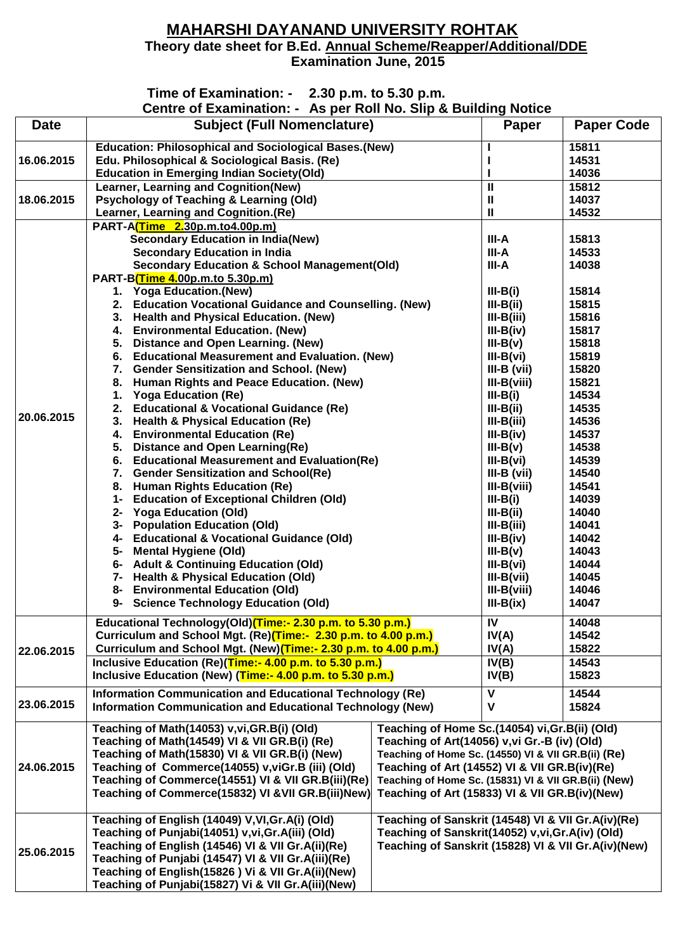## **MAHARSHI DAYANAND UNIVERSITY ROHTAK Theory date sheet for B.Ed. Annual Scheme/Reapper/Additional/DDE Examination June, 2015**

## **Time of Examination: - 2.30 p.m. to 5.30 p.m.**<br>Centre of Examination: - As ner Roll No. Slin &

**Centre of Examination: - As per Roll No. Slip & Building Notice**

|             | Centre of Examination. - As per Koll No. 3lip & Bullding Notice                                             |                                                     |                                                |                   |
|-------------|-------------------------------------------------------------------------------------------------------------|-----------------------------------------------------|------------------------------------------------|-------------------|
| <b>Date</b> | <b>Subject (Full Nomenclature)</b>                                                                          |                                                     | Paper                                          | <b>Paper Code</b> |
|             | <b>Education: Philosophical and Sociological Bases. (New)</b>                                               |                                                     |                                                | 15811             |
| 16.06.2015  | Edu. Philosophical & Sociological Basis. (Re)                                                               |                                                     |                                                | 14531             |
|             | <b>Education in Emerging Indian Society(Old)</b>                                                            |                                                     |                                                | 14036             |
|             | Learner, Learning and Cognition(New)                                                                        |                                                     | Ш                                              | 15812             |
| 18.06.2015  | <b>Psychology of Teaching &amp; Learning (Old)</b>                                                          |                                                     | Ш                                              | 14037             |
|             | Learner, Learning and Cognition.(Re)                                                                        |                                                     | Ш                                              | 14532             |
|             | PART-A(Time 2.30p.m.to4.00p.m)                                                                              |                                                     |                                                |                   |
|             | <b>Secondary Education in India(New)</b>                                                                    |                                                     | III-A                                          | 15813             |
|             | <b>Secondary Education in India</b>                                                                         |                                                     | III-A                                          | 14533             |
|             | <b>Secondary Education &amp; School Management(Old)</b>                                                     |                                                     | III-A                                          | 14038             |
|             | PART-B(Time 4.00p.m.to 5.30p.m)                                                                             |                                                     |                                                |                   |
|             | 1. Yoga Education.(New)                                                                                     |                                                     | $III-B(i)$                                     | 15814             |
|             | 2. Education Vocational Guidance and Counselling. (New)                                                     |                                                     | $III-B(ii)$                                    | 15815             |
|             | 3. Health and Physical Education. (New)                                                                     |                                                     | $III-B(iii)$                                   | 15816             |
|             | 4. Environmental Education. (New)                                                                           |                                                     | $III-B(iv)$                                    | 15817             |
|             | Distance and Open Learning. (New)<br>5.                                                                     |                                                     | $III-B(v)$                                     | 15818             |
|             | <b>Educational Measurement and Evaluation. (New)</b><br>6.                                                  |                                                     | $III-B(vi)$                                    | 15819             |
|             | <b>Gender Sensitization and School. (New)</b><br>7.                                                         |                                                     | $III-B (vii)$                                  | 15820             |
|             | Human Rights and Peace Education. (New)<br>8.                                                               |                                                     | $III-B(viii)$                                  | 15821             |
| 20.06.2015  | <b>Yoga Education (Re)</b><br>1.                                                                            |                                                     | $III-B(i)$                                     | 14534             |
|             | <b>Educational &amp; Vocational Guidance (Re)</b><br>2.                                                     |                                                     | $III-B(ii)$                                    | 14535             |
|             | <b>Health &amp; Physical Education (Re)</b><br>3.                                                           |                                                     | $III-B(iii)$                                   | 14536             |
|             | <b>Environmental Education (Re)</b><br>4.                                                                   |                                                     | $III-B(iv)$                                    | 14537             |
|             | <b>Distance and Open Learning(Re)</b><br>5.                                                                 |                                                     | $III-B(v)$                                     | 14538             |
|             | 6. Educational Measurement and Evaluation(Re)                                                               |                                                     | $III-B(vi)$                                    | 14539             |
|             | <b>Gender Sensitization and School(Re)</b><br>7.                                                            |                                                     | $III-B (vii)$                                  | 14540             |
|             | <b>Human Rights Education (Re)</b><br>8.                                                                    |                                                     | $III-B(viii)$                                  | 14541             |
|             | <b>Education of Exceptional Children (Old)</b><br>1-                                                        |                                                     | $III-B(i)$                                     | 14039             |
|             | <b>Yoga Education (Old)</b><br>2-                                                                           |                                                     | $III-B(ii)$                                    | 14040             |
|             | <b>Population Education (Old)</b><br>3-                                                                     |                                                     | $III-B(iii)$                                   | 14041             |
|             | 4- Educational & Vocational Guidance (Old)                                                                  |                                                     | $III-B(iv)$                                    | 14042             |
|             | <b>Mental Hygiene (Old)</b><br>5-                                                                           |                                                     | $III-B(v)$                                     | 14043             |
|             | 6- Adult & Continuing Education (Old)                                                                       |                                                     | $III-B(vi)$                                    | 14044             |
|             | 7- Health & Physical Education (Old)                                                                        |                                                     | $III-B(vii)$                                   | 14045             |
|             | 8- Environmental Education (Old)                                                                            |                                                     | $III-B(viii)$                                  | 14046             |
|             | 9- Science Technology Education (Old)                                                                       |                                                     | $III-B(ix)$                                    | 14047             |
|             | Educational Technology(Old) <sup>(Time:- 2.30</sup> p.m. to 5.30 p.m.)                                      |                                                     | $\overline{N}$                                 | 14048             |
|             | Curriculum and School Mgt. (Re)(Time:- 2.30 p.m. to 4.00 p.m.)                                              |                                                     | IV(A)                                          | 14542             |
| 22.06.2015  | Curriculum and School Mgt. (New) (Time:- 2.30 p.m. to 4.00 p.m.)                                            |                                                     | IV(A)                                          | 15822             |
|             | Inclusive Education (Re)(Time:- 4.00 p.m. to 5.30 p.m.)                                                     |                                                     | IV(B)                                          | 14543             |
|             | Inclusive Education (New) (Time:- 4.00 p.m. to 5.30 p.m.)                                                   |                                                     | IV(B)                                          | 15823             |
|             | Information Communication and Educational Technology (Re)                                                   |                                                     | V                                              | 14544             |
| 23.06.2015  | Information Communication and Educational Technology (New)                                                  |                                                     | V                                              | 15824             |
|             |                                                                                                             |                                                     |                                                |                   |
|             | Teaching of Math(14053) v, vi, GR. B(i) (Old)                                                               | Teaching of Home Sc.(14054) vi, Gr. B(ii) (Old)     |                                                |                   |
|             | Teaching of Math(14549) VI & VII GR.B(i) (Re)<br>Teaching of Art(14056) v, vi Gr.-B (iv) (Old)              |                                                     |                                                |                   |
|             | Teaching of Math(15830) VI & VII GR.B(i) (New)<br>Teaching of Home Sc. (14550) VI & VII GR. B(ii) (Re)      |                                                     |                                                |                   |
| 24.06.2015  | Teaching of Commerce(14055) v, viGr.B (iii) (Old)                                                           |                                                     | Teaching of Art (14552) VI & VII GR. B(iv)(Re) |                   |
|             | Teaching of Commerce(14551) VI & VII GR.B(iii)(Re)<br>Teaching of Home Sc. (15831) VI & VII GR. B(ii) (New) |                                                     |                                                |                   |
|             | Teaching of Commerce(15832) VI & VII GR. B(iii)New)<br>Teaching of Art (15833) VI & VII GR. B(iv)(New)      |                                                     |                                                |                   |
| 25.06.2015  | Teaching of English (14049) V, VI, Gr. A(i) (Old)                                                           | Teaching of Sanskrit (14548) VI & VII Gr.A(iv)(Re)  |                                                |                   |
|             | Teaching of Sanskrit(14052) v, vi, Gr. A(iv) (Old)<br>Teaching of Punjabi(14051) v, vi, Gr. A(iii) (Old)    |                                                     |                                                |                   |
|             | Teaching of English (14546) VI & VII Gr. A(ii)(Re)                                                          | Teaching of Sanskrit (15828) VI & VII Gr.A(iv)(New) |                                                |                   |
|             | Teaching of Punjabi (14547) VI & VII Gr. A(iii) (Re)                                                        |                                                     |                                                |                   |
|             | Teaching of English(15826) Vi & VII Gr.A(ii)(New)                                                           |                                                     |                                                |                   |
|             | Teaching of Punjabi(15827) Vi & VII Gr.A(iii)(New)                                                          |                                                     |                                                |                   |